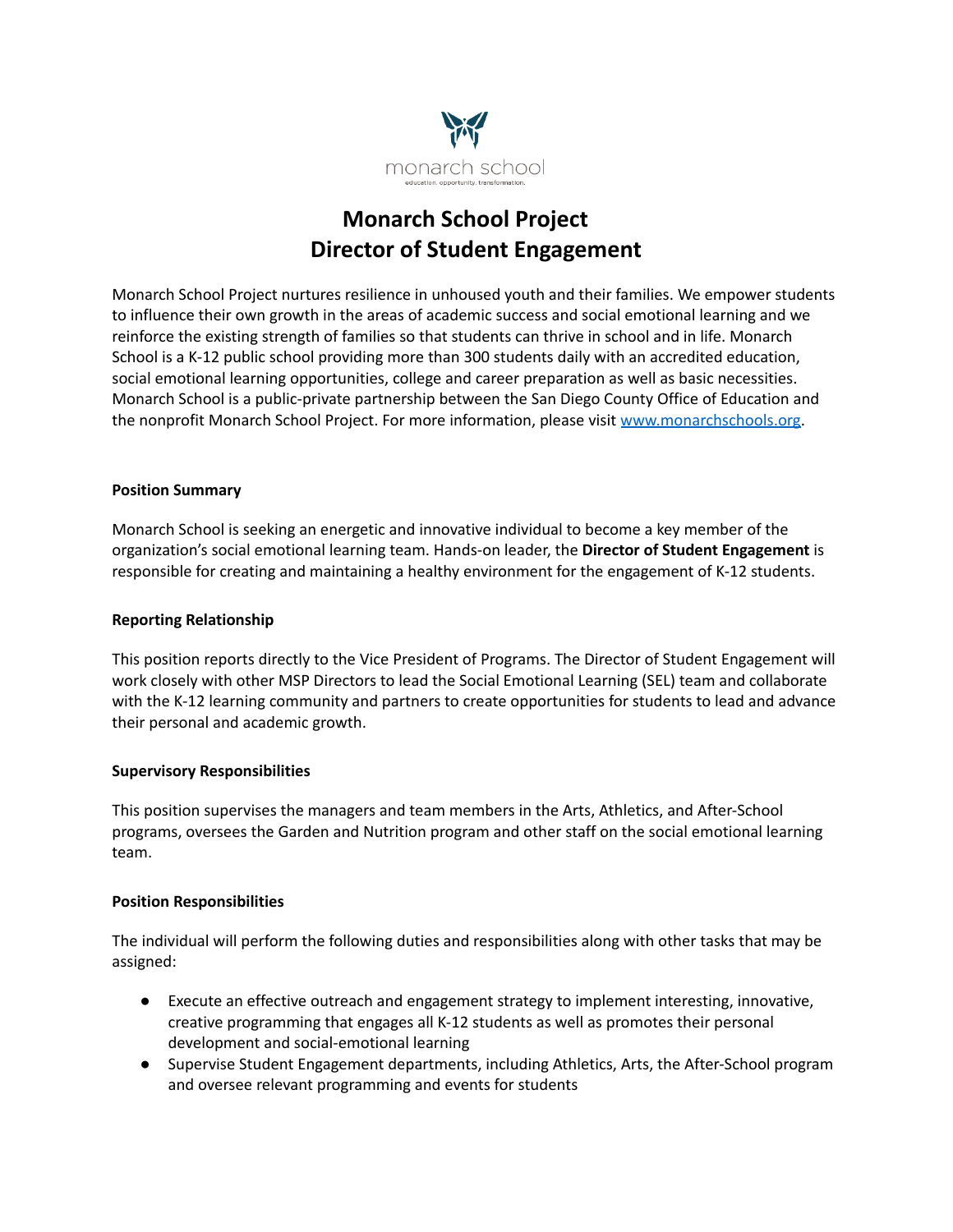

# **Monarch School Project Director of Student Engagement**

Monarch School Project nurtures resilience in unhoused youth and their families. We empower students to influence their own growth in the areas of academic success and social emotional learning and we reinforce the existing strength of families so that students can thrive in school and in life. Monarch School is a K-12 public school providing more than 300 students daily with an accredited education, social emotional learning opportunities, college and career preparation as well as basic necessities. Monarch School is a public-private partnership between the San Diego County Office of Education and the nonprofit Monarch School Project. For more information, please visit [www.monarchschools.org.](http://www.monarchschools.org)

## **Position Summary**

Monarch School is seeking an energetic and innovative individual to become a key member of the organization's social emotional learning team. Hands-on leader, the **Director of Student Engagement** is responsible for creating and maintaining a healthy environment for the engagement of K-12 students.

#### **Reporting Relationship**

This position reports directly to the Vice President of Programs. The Director of Student Engagement will work closely with other MSP Directors to lead the Social Emotional Learning (SEL) team and collaborate with the K-12 learning community and partners to create opportunities for students to lead and advance their personal and academic growth.

#### **Supervisory Responsibilities**

This position supervises the managers and team members in the Arts, Athletics, and After-School programs, oversees the Garden and Nutrition program and other staff on the social emotional learning team.

#### **Position Responsibilities**

The individual will perform the following duties and responsibilities along with other tasks that may be assigned:

- Execute an effective outreach and engagement strategy to implement interesting, innovative, creative programming that engages all K-12 students as well as promotes their personal development and social-emotional learning
- Supervise Student Engagement departments, including Athletics, Arts, the After-School program and oversee relevant programming and events for students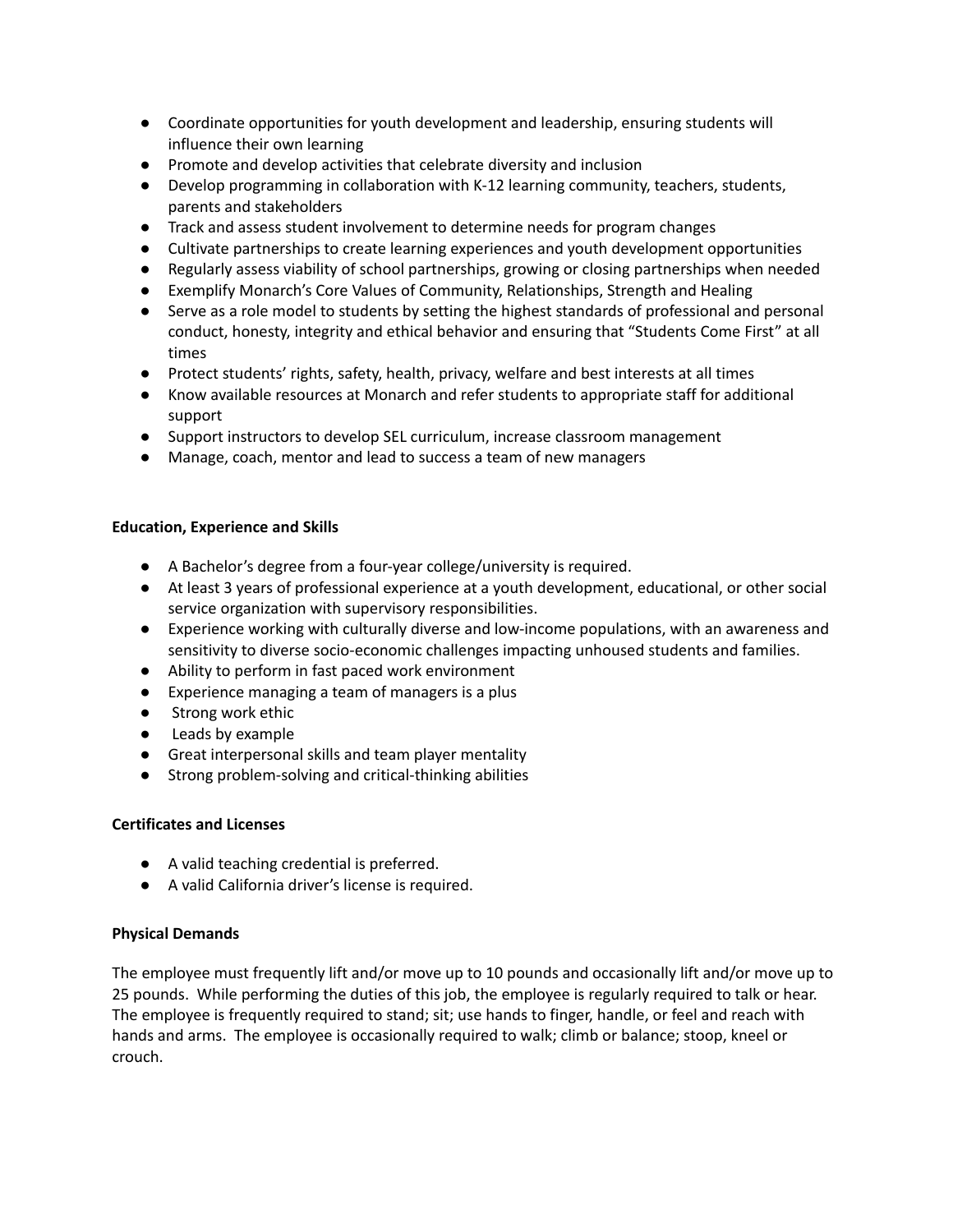- Coordinate opportunities for youth development and leadership, ensuring students will influence their own learning
- Promote and develop activities that celebrate diversity and inclusion
- Develop programming in collaboration with K-12 learning community, teachers, students, parents and stakeholders
- Track and assess student involvement to determine needs for program changes
- Cultivate partnerships to create learning experiences and youth development opportunities
- Regularly assess viability of school partnerships, growing or closing partnerships when needed
- Exemplify Monarch's Core Values of Community, Relationships, Strength and Healing
- Serve as a role model to students by setting the highest standards of professional and personal conduct, honesty, integrity and ethical behavior and ensuring that "Students Come First" at all times
- Protect students' rights, safety, health, privacy, welfare and best interests at all times
- Know available resources at Monarch and refer students to appropriate staff for additional support
- Support instructors to develop SEL curriculum, increase classroom management
- Manage, coach, mentor and lead to success a team of new managers

## **Education, Experience and Skills**

- A Bachelor's degree from a four-year college/university is required.
- At least 3 years of professional experience at a youth development, educational, or other social service organization with supervisory responsibilities.
- Experience working with culturally diverse and low-income populations, with an awareness and sensitivity to diverse socio-economic challenges impacting unhoused students and families.
- Ability to perform in fast paced work environment
- Experience managing a team of managers is a plus
- Strong work ethic
- Leads by example
- Great interpersonal skills and team player mentality
- Strong problem-solving and critical-thinking abilities

## **Certificates and Licenses**

- A valid teaching credential is preferred.
- A valid California driver's license is required.

## **Physical Demands**

The employee must frequently lift and/or move up to 10 pounds and occasionally lift and/or move up to 25 pounds. While performing the duties of this job, the employee is regularly required to talk or hear. The employee is frequently required to stand; sit; use hands to finger, handle, or feel and reach with hands and arms. The employee is occasionally required to walk; climb or balance; stoop, kneel or crouch.